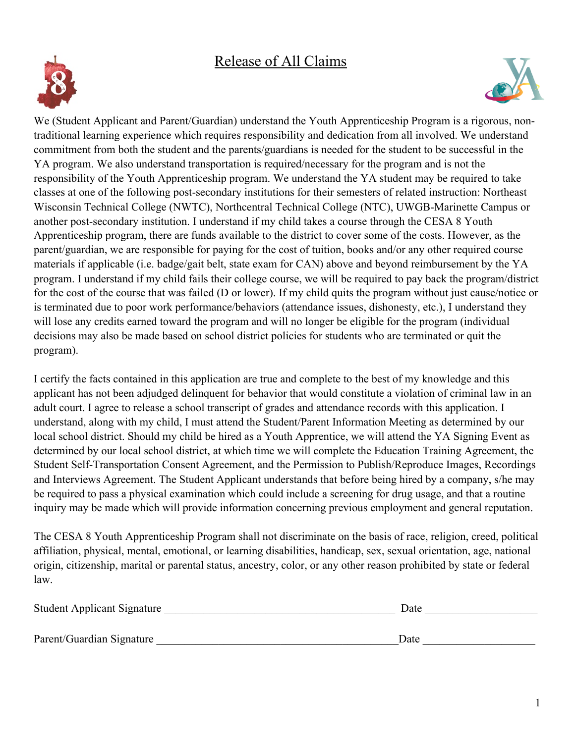## Release of All Claims





We (Student Applicant and Parent/Guardian) understand the Youth Apprenticeship Program is a rigorous, nontraditional learning experience which requires responsibility and dedication from all involved. We understand commitment from both the student and the parents/guardians is needed for the student to be successful in the YA program. We also understand transportation is required/necessary for the program and is not the responsibility of the Youth Apprenticeship program. We understand the YA student may be required to take classes at one of the following post-secondary institutions for their semesters of related instruction: Northeast Wisconsin Technical College (NWTC), Northcentral Technical College (NTC), UWGB-Marinette Campus or another post-secondary institution. I understand if my child takes a course through the CESA 8 Youth Apprenticeship program, there are funds available to the district to cover some of the costs. However, as the parent/guardian, we are responsible for paying for the cost of tuition, books and/or any other required course materials if applicable (i.e. badge/gait belt, state exam for CAN) above and beyond reimbursement by the YA program. I understand if my child fails their college course, we will be required to pay back the program/district for the cost of the course that was failed (D or lower). If my child quits the program without just cause/notice or is terminated due to poor work performance/behaviors (attendance issues, dishonesty, etc.), I understand they will lose any credits earned toward the program and will no longer be eligible for the program (individual decisions may also be made based on school district policies for students who are terminated or quit the program).

I certify the facts contained in this application are true and complete to the best of my knowledge and this applicant has not been adjudged delinquent for behavior that would constitute a violation of criminal law in an adult court. I agree to release a school transcript of grades and attendance records with this application. I understand, along with my child, I must attend the Student/Parent Information Meeting as determined by our local school district. Should my child be hired as a Youth Apprentice, we will attend the YA Signing Event as determined by our local school district, at which time we will complete the Education Training Agreement, the Student Self-Transportation Consent Agreement, and the Permission to Publish/Reproduce Images, Recordings and Interviews Agreement. The Student Applicant understands that before being hired by a company, s/he may be required to pass a physical examination which could include a screening for drug usage, and that a routine inquiry may be made which will provide information concerning previous employment and general reputation.

The CESA 8 Youth Apprenticeship Program shall not discriminate on the basis of race, religion, creed, political affiliation, physical, mental, emotional, or learning disabilities, handicap, sex, sexual orientation, age, national origin, citizenship, marital or parental status, ancestry, color, or any other reason prohibited by state or federal law.

| <b>Student Applicant Signature</b> | Date |  |
|------------------------------------|------|--|
|                                    |      |  |
| Parent/Guardian Signature          | Date |  |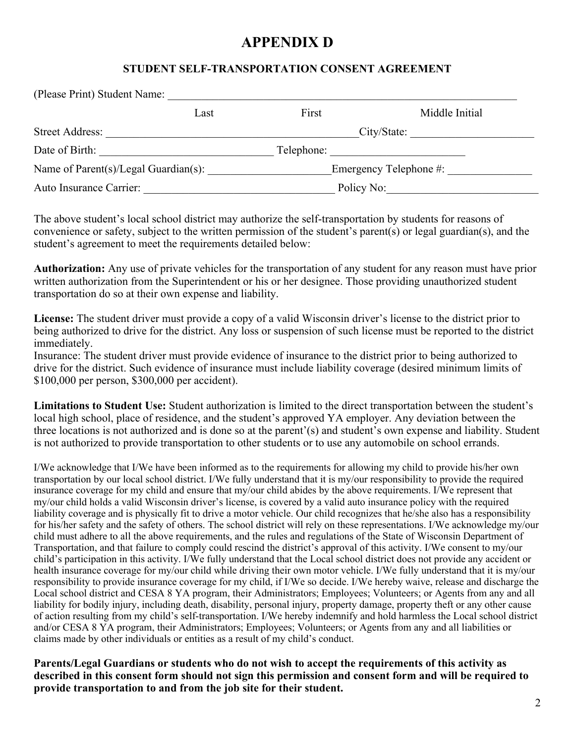### **APPENDIX D**

### **STUDENT SELF-TRANSPORTATION CONSENT AGREEMENT**

| (Please Print) Student Name:           |             |                        |                |
|----------------------------------------|-------------|------------------------|----------------|
|                                        | Last        | First                  | Middle Initial |
| <b>Street Address:</b>                 | City/State: |                        |                |
| Date of Birth:<br>Telephone:           |             |                        |                |
| Name of $Parent(s)/legal$ Guardian(s): |             | Emergency Telephone #: |                |
| Auto Insurance Carrier:                | Policy No:  |                        |                |

The above student's local school district may authorize the self-transportation by students for reasons of convenience or safety, subject to the written permission of the student's parent(s) or legal guardian(s), and the student's agreement to meet the requirements detailed below:

**Authorization:** Any use of private vehicles for the transportation of any student for any reason must have prior written authorization from the Superintendent or his or her designee. Those providing unauthorized student transportation do so at their own expense and liability.

**License:** The student driver must provide a copy of a valid Wisconsin driver's license to the district prior to being authorized to drive for the district. Any loss or suspension of such license must be reported to the district immediately.

Insurance: The student driver must provide evidence of insurance to the district prior to being authorized to drive for the district. Such evidence of insurance must include liability coverage (desired minimum limits of \$100,000 per person, \$300,000 per accident).

**Limitations to Student Use:** Student authorization is limited to the direct transportation between the student's local high school, place of residence, and the student's approved YA employer. Any deviation between the three locations is not authorized and is done so at the parent'(s) and student's own expense and liability. Student is not authorized to provide transportation to other students or to use any automobile on school errands.

I/We acknowledge that I/We have been informed as to the requirements for allowing my child to provide his/her own transportation by our local school district. I/We fully understand that it is my/our responsibility to provide the required insurance coverage for my child and ensure that my/our child abides by the above requirements. I/We represent that my/our child holds a valid Wisconsin driver's license, is covered by a valid auto insurance policy with the required liability coverage and is physically fit to drive a motor vehicle. Our child recognizes that he/she also has a responsibility for his/her safety and the safety of others. The school district will rely on these representations. I/We acknowledge my/our child must adhere to all the above requirements, and the rules and regulations of the State of Wisconsin Department of Transportation, and that failure to comply could rescind the district's approval of this activity. I/We consent to my/our child's participation in this activity. I/We fully understand that the Local school district does not provide any accident or health insurance coverage for my/our child while driving their own motor vehicle. I/We fully understand that it is my/our responsibility to provide insurance coverage for my child, if I/We so decide. I/We hereby waive, release and discharge the Local school district and CESA 8 YA program, their Administrators; Employees; Volunteers; or Agents from any and all liability for bodily injury, including death, disability, personal injury, property damage, property theft or any other cause of action resulting from my child's self-transportation. I/We hereby indemnify and hold harmless the Local school district and/or CESA 8 YA program, their Administrators; Employees; Volunteers; or Agents from any and all liabilities or claims made by other individuals or entities as a result of my child's conduct.

**Parents/Legal Guardians or students who do not wish to accept the requirements of this activity as described in this consent form should not sign this permission and consent form and will be required to provide transportation to and from the job site for their student.**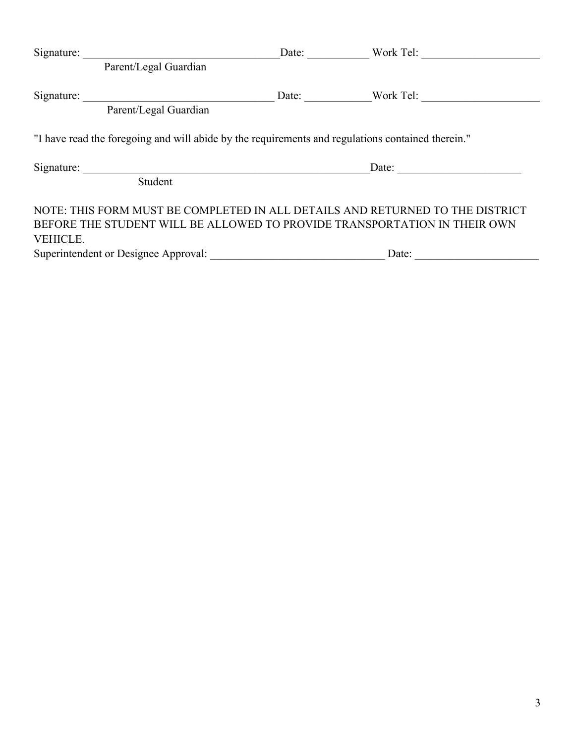| Signature:                                                                                                                                                                    | Date: | Work Tel: |
|-------------------------------------------------------------------------------------------------------------------------------------------------------------------------------|-------|-----------|
| Parent/Legal Guardian                                                                                                                                                         |       |           |
| Signature:                                                                                                                                                                    | Date: | Work Tel: |
| Parent/Legal Guardian                                                                                                                                                         |       |           |
| "I have read the foregoing and will abide by the requirements and regulations contained therein."                                                                             |       |           |
| Signature:<br>Student                                                                                                                                                         |       | Date:     |
| NOTE: THIS FORM MUST BE COMPLETED IN ALL DETAILS AND RETURNED TO THE DISTRICT<br>BEFORE THE STUDENT WILL BE ALLOWED TO PROVIDE TRANSPORTATION IN THEIR OWN<br><b>VEHICLE.</b> |       |           |

| Superintendent or Designee Approval: | Date: |  |
|--------------------------------------|-------|--|
|                                      |       |  |